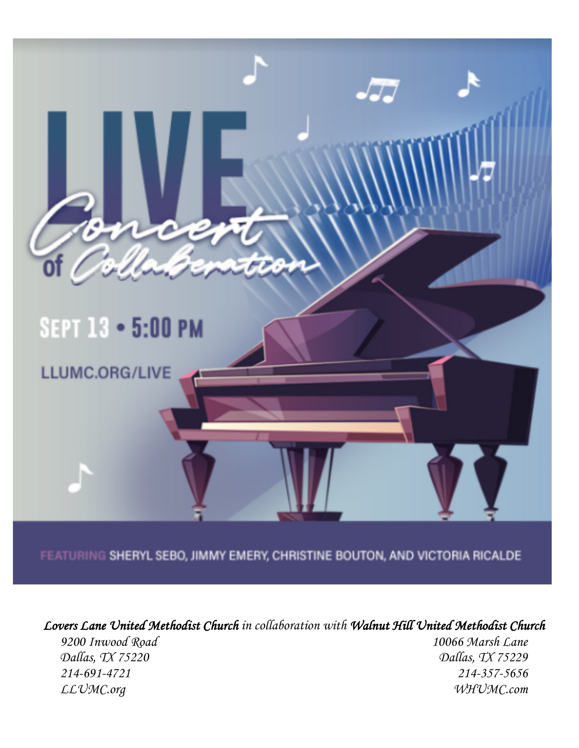

FEATURING SHERYL SEBO, JIMMY EMERY, CHRISTINE BOUTON, AND VICTORIA RICALDE

*Lovers Lane United Methodist Church in collaboration with Walnut Hill United Methodist Church*

*Dallas, TX 75220 Dallas, TX 75229 214-691-4721 214-357-5656 LLUMC.org WHUMC.com*

*9200 Inwood Road 10066 Marsh Lane*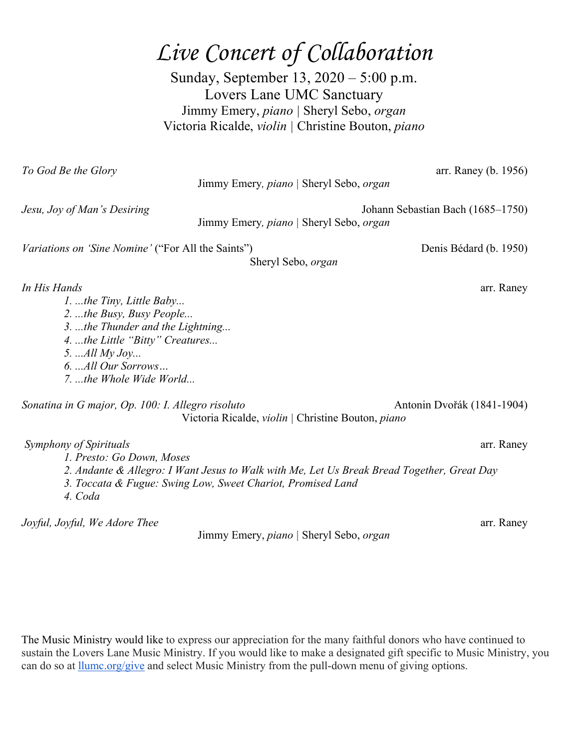## *Live Concert of Collaboration*

Sunday, September 13, 2020 – 5:00 p.m. Lovers Lane UMC Sanctuary Jimmy Emery, *piano |* Sheryl Sebo, *organ* Victoria Ricalde, *violin |* Christine Bouton, *piano*

| To God Be the Glory                                                                                                                                                                                              | Jimmy Emery, piano   Sheryl Sebo, organ                     | arr. Raney (b. 1956)                                                                                     |
|------------------------------------------------------------------------------------------------------------------------------------------------------------------------------------------------------------------|-------------------------------------------------------------|----------------------------------------------------------------------------------------------------------|
| Jesu, Joy of Man's Desiring                                                                                                                                                                                      | Jimmy Emery, piano   Sheryl Sebo, organ                     | Johann Sebastian Bach (1685–1750)                                                                        |
| <i>Variations on 'Sine Nomine'</i> ("For All the Saints")                                                                                                                                                        | Sheryl Sebo, organ                                          | Denis Bédard (b. 1950)                                                                                   |
| In His Hands<br>1. the Tiny, Little Baby<br>2. the Busy, Busy People<br>3. the Thunder and the Lightning<br>4. the Little "Bitty" Creatures<br>5. $All My Joy$<br>6.  All Our Sorrows<br>7. the Whole Wide World |                                                             | arr. Raney                                                                                               |
| Sonatina in G major, Op. 100: I. Allegro risoluto                                                                                                                                                                | Victoria Ricalde, violin   Christine Bouton, piano          | Antonin Dvořák (1841-1904)                                                                               |
| Symphony of Spirituals<br>1. Presto: Go Down, Moses<br>4. Coda                                                                                                                                                   | 3. Toccata & Fugue: Swing Low, Sweet Chariot, Promised Land | arr. Raney<br>2. Andante & Allegro: I Want Jesus to Walk with Me, Let Us Break Bread Together, Great Day |
| Joyful, Joyful, We Adore Thee                                                                                                                                                                                    | Jimmy Emery, piano   Sheryl Sebo, organ                     | arr. Raney                                                                                               |

The Music Ministry would like to express our appreciation for the many faithful donors who have continued to sustain the Lovers Lane Music Ministry. If you would like to make a designated gift specific to Music Ministry, you can do so at llumc.org/give and select Music Ministry from the pull-down menu of giving options.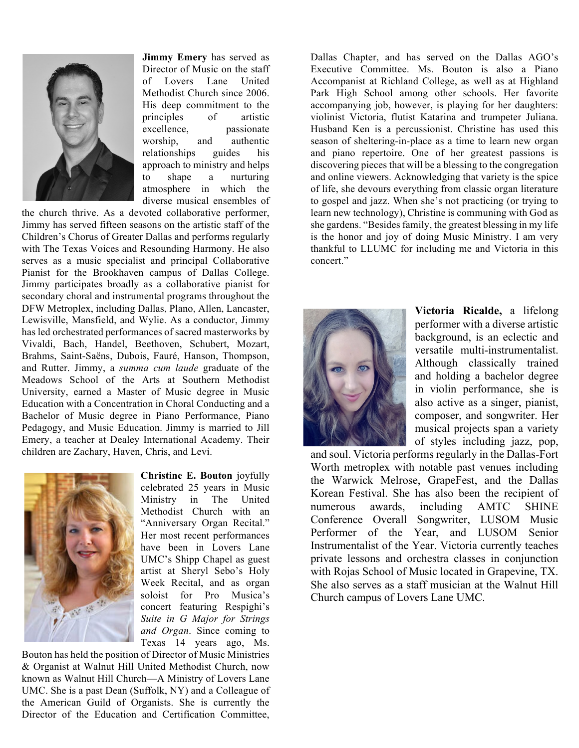

**Jimmy Emery** has served as Director of Music on the staff of Lovers Lane United Methodist Church since 2006. His deep commitment to the principles of artistic excellence, passionate worship, and authentic relationships guides his approach to ministry and helps to shape a nurturing atmosphere in which the diverse musical ensembles of

the church thrive. As a devoted collaborative performer, Jimmy has served fifteen seasons on the artistic staff of the Children's Chorus of Greater Dallas and performs regularly with The Texas Voices and Resounding Harmony. He also serves as a music specialist and principal Collaborative Pianist for the Brookhaven campus of Dallas College. Jimmy participates broadly as a collaborative pianist for secondary choral and instrumental programs throughout the DFW Metroplex, including Dallas, Plano, Allen, Lancaster, Lewisville, Mansfield, and Wylie. As a conductor, Jimmy has led orchestrated performances of sacred masterworks by Vivaldi, Bach, Handel, Beethoven, Schubert, Mozart, Brahms, Saint-Saëns, Dubois, Fauré, Hanson, Thompson, and Rutter. Jimmy, a *summa cum laude* graduate of the Meadows School of the Arts at Southern Methodist University, earned a Master of Music degree in Music Education with a Concentration in Choral Conducting and a Bachelor of Music degree in Piano Performance, Piano Pedagogy, and Music Education. Jimmy is married to Jill Emery, a teacher at Dealey International Academy. Their children are Zachary, Haven, Chris, and Levi.



**Christine E. Bouton** joyfully celebrated 25 years in Music Ministry in The United Methodist Church with an "Anniversary Organ Recital." Her most recent performances have been in Lovers Lane UMC's Shipp Chapel as guest artist at Sheryl Sebo's Holy Week Recital, and as organ soloist for Pro Musica's concert featuring Respighi's *Suite in G Major for Strings and Organ*. Since coming to Texas 14 years ago, Ms.

Bouton has held the position of Director of Music Ministries & Organist at Walnut Hill United Methodist Church, now known as Walnut Hill Church—A Ministry of Lovers Lane UMC. She is a past Dean (Suffolk, NY) and a Colleague of the American Guild of Organists. She is currently the Director of the Education and Certification Committee,

Dallas Chapter, and has served on the Dallas AGO's Executive Committee. Ms. Bouton is also a Piano Accompanist at Richland College, as well as at Highland Park High School among other schools. Her favorite accompanying job, however, is playing for her daughters: violinist Victoria, flutist Katarina and trumpeter Juliana. Husband Ken is a percussionist. Christine has used this season of sheltering-in-place as a time to learn new organ and piano repertoire. One of her greatest passions is discovering pieces that will be a blessing to the congregation and online viewers. Acknowledging that variety is the spice of life, she devours everything from classic organ literature to gospel and jazz. When she's not practicing (or trying to learn new technology), Christine is communing with God as she gardens. "Besides family, the greatest blessing in my life is the honor and joy of doing Music Ministry. I am very thankful to LLUMC for including me and Victoria in this concert."



**Victoria Ricalde,** a lifelong performer with a diverse artistic background, is an eclectic and versatile multi-instrumentalist. Although classically trained and holding a bachelor degree in violin performance, she is also active as a singer, pianist, composer, and songwriter. Her musical projects span a variety of styles including jazz, pop,

and soul. Victoria performs regularly in the Dallas-Fort Worth metroplex with notable past venues including the Warwick Melrose, GrapeFest, and the Dallas Korean Festival. She has also been the recipient of numerous awards, including AMTC SHINE Conference Overall Songwriter, LUSOM Music Performer of the Year, and LUSOM Senior Instrumentalist of the Year. Victoria currently teaches private lessons and orchestra classes in conjunction with Rojas School of Music located in Grapevine, TX. She also serves as a staff musician at the Walnut Hill Church campus of Lovers Lane UMC.